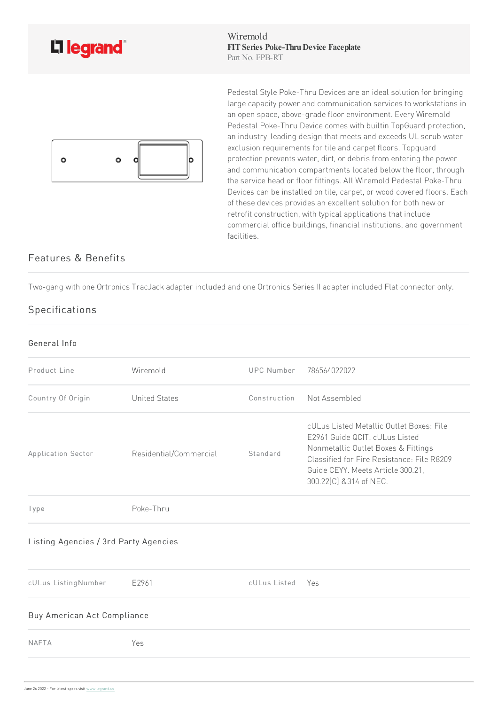

Wiremold **FITSeries Poke-ThruDevice Faceplate** Part No. FPB-RT



Pedestal Style Poke-Thru Devices are an ideal solution for bringing large capacity power and communication services to workstations in an open space, above-grade floor environment. Every Wiremold Pedestal Poke-Thru Device comes with builtin TopGuard protection, an industry-leading design that meets and exceeds UL scrub water exclusion requirements for tile and carpet floors. Topguard protection prevents water, dirt, or debris from entering the power and communication compartments located below the floor, through the service head or floor fittings. All Wiremold Pedestal Poke-Thru Devices can be installed on tile, carpet, or wood covered floors. Each of these devices provides an excellent solution for both new or retrofit construction, with typical applications that include commercial office buildings, financial institutions, and government facilities.

## Features & Benefits

Two-gang with one Ortronics TracJack adapter included and one Ortronics Series II adapter included Flat connector only.

## **Specifications**

| General Info                          |                        |                   |                                                                                                                                                                                                                                 |
|---------------------------------------|------------------------|-------------------|---------------------------------------------------------------------------------------------------------------------------------------------------------------------------------------------------------------------------------|
| Product Line                          | Wiremold               | <b>UPC Number</b> | 786564022022                                                                                                                                                                                                                    |
| Country Of Origin                     | <b>United States</b>   | Construction      | Not Assembled                                                                                                                                                                                                                   |
| Application Sector                    | Residential/Commercial | Standard          | cULus Listed Metallic Outlet Boxes: File<br>E2961 Guide QCIT. cULus Listed<br>Nonmetallic Outlet Boxes & Fittings<br>Classified for Fire Resistance: File R8209<br>Guide CEYY. Meets Article 300.21,<br>300.22[C] & 314 of NEC. |
| Type                                  | Poke-Thru              |                   |                                                                                                                                                                                                                                 |
| Listing Agencies / 3rd Party Agencies |                        |                   |                                                                                                                                                                                                                                 |
| cULus ListingNumber                   | E2961                  | cULus Listed      | - Yes                                                                                                                                                                                                                           |
| Buy American Act Compliance           |                        |                   |                                                                                                                                                                                                                                 |
| <b>NAFTA</b>                          | Yes                    |                   |                                                                                                                                                                                                                                 |